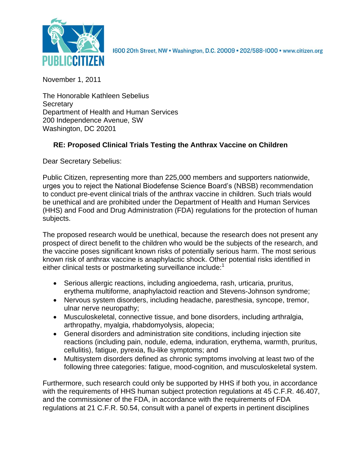

1600 20th Street, NW • Washington, D.C. 20009 • 202/588-1000 • www.citizen.org

November 1, 2011

The Honorable Kathleen Sebelius **Secretary** Department of Health and Human Services 200 Independence Avenue, SW Washington, DC 20201

## **RE: Proposed Clinical Trials Testing the Anthrax Vaccine on Children**

Dear Secretary Sebelius:

Public Citizen, representing more than 225,000 members and supporters nationwide, urges you to reject the National Biodefense Science Board's (NBSB) recommendation to conduct pre-event clinical trials of the anthrax vaccine in children. Such trials would be unethical and are prohibited under the Department of Health and Human Services (HHS) and Food and Drug Administration (FDA) regulations for the protection of human subjects.

The proposed research would be unethical, because the research does not present any prospect of direct benefit to the children who would be the subjects of the research, and the vaccine poses significant known risks of potentially serious harm. The most serious known risk of anthrax vaccine is anaphylactic shock. Other potential risks identified in either clinical tests or postmarketing surveillance include:<sup>1</sup>

- Serious allergic reactions, including angioedema, rash, urticaria, pruritus, erythema multiforme, anaphylactoid reaction and Stevens-Johnson syndrome;
- Nervous system disorders, including headache, paresthesia, syncope, tremor, ulnar nerve neuropathy;
- Musculoskeletal, connective tissue, and bone disorders, including arthralgia, arthropathy, myalgia, rhabdomyolysis, alopecia;
- General disorders and administration site conditions, including injection site reactions (including pain, nodule, edema, induration, erythema, warmth, pruritus, cellulitis), fatigue, pyrexia, flu-like symptoms; and
- Multisystem disorders defined as chronic symptoms involving at least two of the following three categories: fatigue, mood-cognition, and musculoskeletal system.

Furthermore, such research could only be supported by HHS if both you, in accordance with the requirements of HHS human subject protection regulations at 45 C.F.R. 46.407, and the commissioner of the FDA, in accordance with the requirements of FDA regulations at 21 C.F.R. 50.54, consult with a panel of experts in pertinent disciplines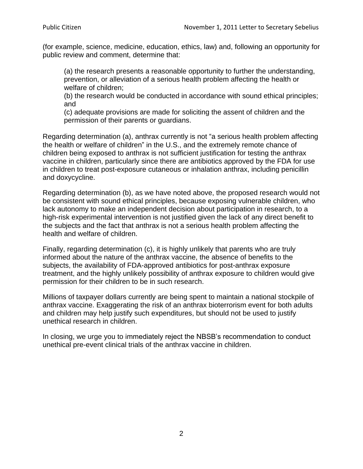(for example, science, medicine, education, ethics, law) and, following an opportunity for public review and comment, determine that:

(a) the research presents a reasonable opportunity to further the understanding, prevention, or alleviation of a serious health problem affecting the health or welfare of children;

(b) the research would be conducted in accordance with sound ethical principles; and

(c) adequate provisions are made for soliciting the assent of children and the permission of their parents or guardians.

Regarding determination (a), anthrax currently is not "a serious health problem affecting the health or welfare of children" in the U.S., and the extremely remote chance of children being exposed to anthrax is not sufficient justification for testing the anthrax vaccine in children, particularly since there are antibiotics approved by the FDA for use in children to treat post-exposure cutaneous or inhalation anthrax, including penicillin and doxycycline.

Regarding determination (b), as we have noted above, the proposed research would not be consistent with sound ethical principles, because exposing vulnerable children, who lack autonomy to make an independent decision about participation in research, to a high-risk experimental intervention is not justified given the lack of any direct benefit to the subjects and the fact that anthrax is not a serious health problem affecting the health and welfare of children.

Finally, regarding determination (c), it is highly unlikely that parents who are truly informed about the nature of the anthrax vaccine, the absence of benefits to the subjects, the availability of FDA-approved antibiotics for post-anthrax exposure treatment, and the highly unlikely possibility of anthrax exposure to children would give permission for their children to be in such research.

Millions of taxpayer dollars currently are being spent to maintain a national stockpile of anthrax vaccine. Exaggerating the risk of an anthrax bioterrorism event for both adults and children may help justify such expenditures, but should not be used to justify unethical research in children.

In closing, we urge you to immediately reject the NBSB's recommendation to conduct unethical pre-event clinical trials of the anthrax vaccine in children.